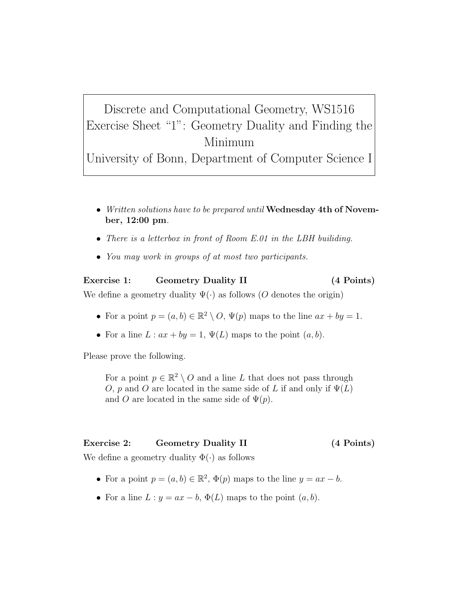## Discrete and Computational Geometry, WS1516 Exercise Sheet "1": Geometry Duality and Finding the Minimum

University of Bonn, Department of Computer Science I

- Written solutions have to be prepared until Wednesday 4th of November, 12:00 pm.
- There is a letterbox in front of Room E.01 in the LBH builiding.
- You may work in groups of at most two participants.

## Exercise 1: Geometry Duality II (4 Points) We define a geometry duality  $\Psi(\cdot)$  as follows (O denotes the origin)

- For a point  $p = (a, b) \in \mathbb{R}^2 \setminus O$ ,  $\Psi(p)$  maps to the line  $ax + by = 1$ .
- For a line  $L: ax + by = 1$ ,  $\Psi(L)$  maps to the point  $(a, b)$ .

Please prove the following.

For a point  $p \in \mathbb{R}^2 \setminus O$  and a line L that does not pass through O, p and O are located in the same side of L if and only if  $\Psi(L)$ and O are located in the same side of  $\Psi(p)$ .

## Exercise 2: Geometry Duality II (4 Points)

We define a geometry duality  $\Phi(\cdot)$  as follows

- For a point  $p = (a, b) \in \mathbb{R}^2$ ,  $\Phi(p)$  maps to the line  $y = ax b$ .
- For a line  $L: y = ax b$ ,  $\Phi(L)$  maps to the point  $(a, b)$ .